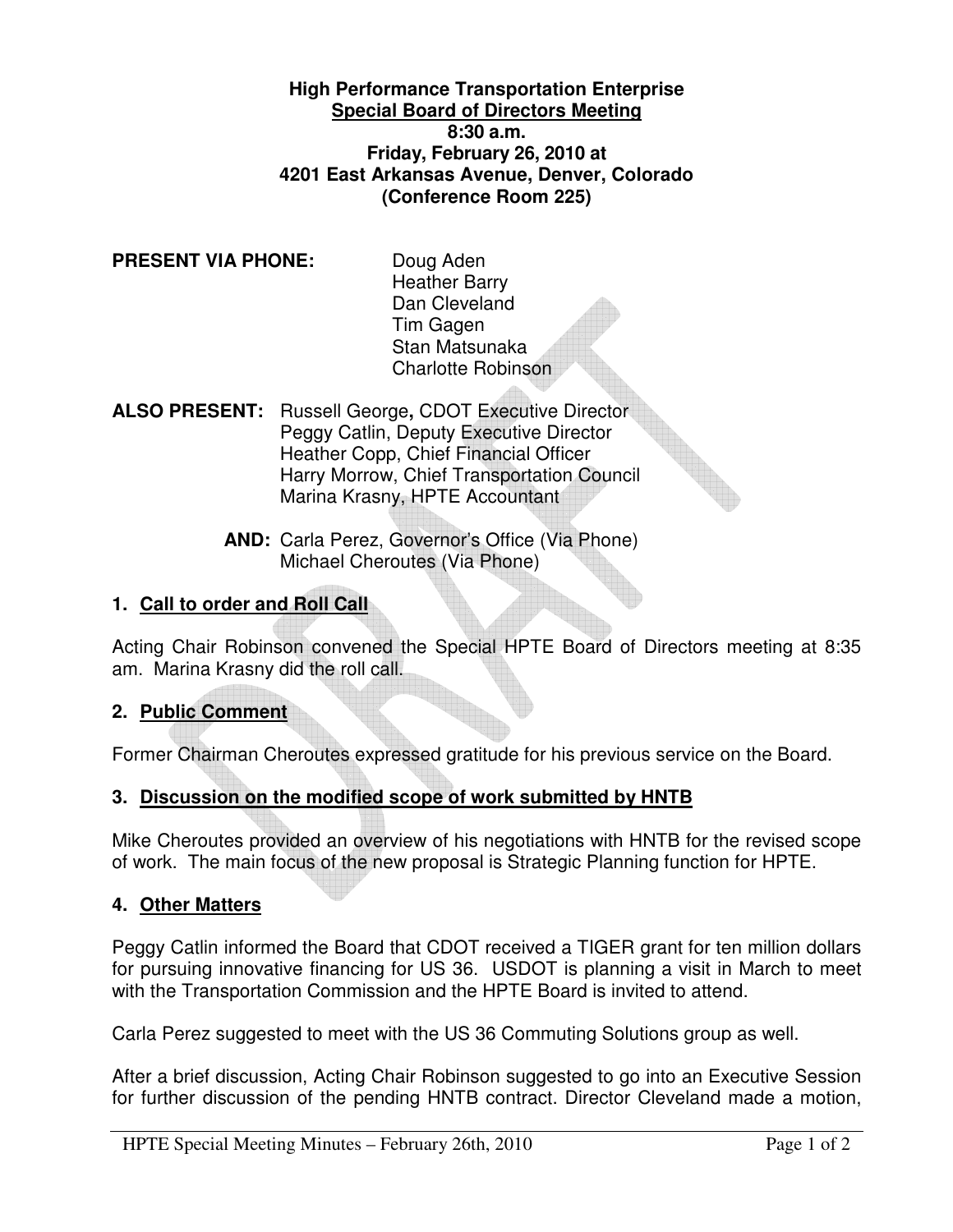**High Performance Transportation Enterprise Special Board of Directors Meeting 8:30 a.m. Friday, February 26, 2010 at 4201 East Arkansas Avenue, Denver, Colorado (Conference Room 225)** 

**PRESENT VIA PHONE:** Doug Aden

Heather Barry Dan Cleveland Tim Gagen Stan Matsunaka Charlotte Robinson

**ALSO PRESENT:** Russell George**,** CDOT Executive Director Peggy Catlin, Deputy Executive Director Heather Copp, Chief Financial Officer Harry Morrow, Chief Transportation Council Marina Krasny, HPTE Accountant

> **AND:** Carla Perez, Governor's Office (Via Phone) Michael Cheroutes (Via Phone)

# **1. Call to order and Roll Call**

Acting Chair Robinson convened the Special HPTE Board of Directors meeting at 8:35 am. Marina Krasny did the roll call.

### **2. Public Comment**

Former Chairman Cheroutes expressed gratitude for his previous service on the Board.

### **3. Discussion on the modified scope of work submitted by HNTB**

Mike Cheroutes provided an overview of his negotiations with HNTB for the revised scope of work. The main focus of the new proposal is Strategic Planning function for HPTE.

### **4. Other Matters**

Peggy Catlin informed the Board that CDOT received a TIGER grant for ten million dollars for pursuing innovative financing for US 36. USDOT is planning a visit in March to meet with the Transportation Commission and the HPTE Board is invited to attend.

Carla Perez suggested to meet with the US 36 Commuting Solutions group as well.

After a brief discussion, Acting Chair Robinson suggested to go into an Executive Session for further discussion of the pending HNTB contract. Director Cleveland made a motion,